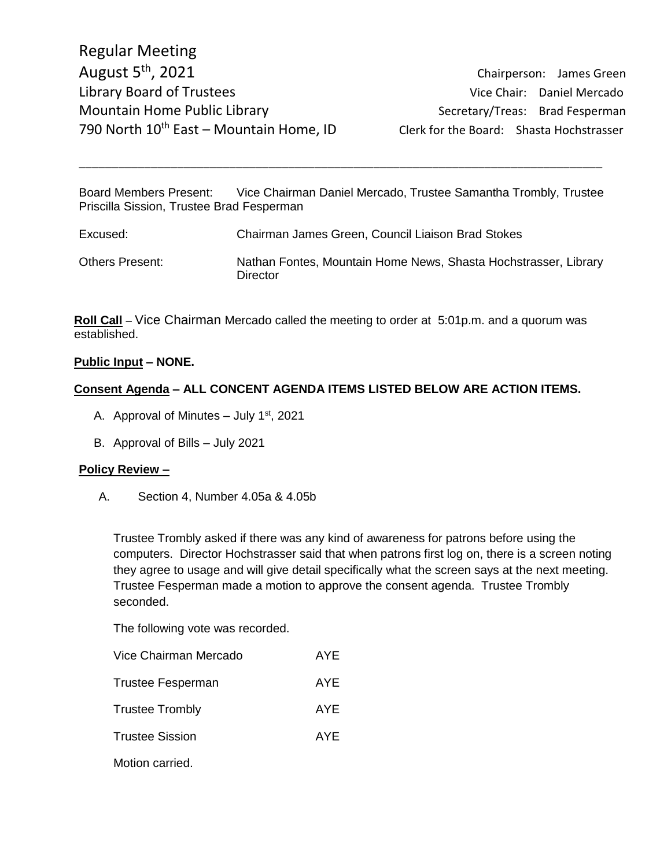Chairperson: James Green

Board Members Present: Vice Chairman Daniel Mercado, Trustee Samantha Trombly, Trustee Priscilla Sission, Trustee Brad Fesperman

\_\_\_\_\_\_\_\_\_\_\_\_\_\_\_\_\_\_\_\_\_\_\_\_\_\_\_\_\_\_\_\_\_\_\_\_\_\_\_\_\_\_\_\_\_\_\_\_\_\_\_\_\_\_\_\_\_\_\_\_\_\_\_\_\_\_\_\_\_\_\_\_\_\_\_\_\_\_\_\_

| Excused:               | Chairman James Green, Council Liaison Brad Stokes                           |
|------------------------|-----------------------------------------------------------------------------|
| <b>Others Present:</b> | Nathan Fontes, Mountain Home News, Shasta Hochstrasser, Library<br>Director |

**Roll Call** – Vice Chairman Mercado called the meeting to order at 5:01p.m. and a quorum was established.

### **Public Input – NONE.**

### **Consent Agenda – ALL CONCENT AGENDA ITEMS LISTED BELOW ARE ACTION ITEMS.**

- A. Approval of Minutes  $-$  July 1st, 2021
- B. Approval of Bills July 2021

### **Policy Review –**

A. Section 4, Number 4.05a & 4.05b

Trustee Trombly asked if there was any kind of awareness for patrons before using the computers. Director Hochstrasser said that when patrons first log on, there is a screen noting they agree to usage and will give detail specifically what the screen says at the next meeting. Trustee Fesperman made a motion to approve the consent agenda. Trustee Trombly seconded.

The following vote was recorded.

| Vice Chairman Mercado    | AYE. |
|--------------------------|------|
| <b>Trustee Fesperman</b> | AYE. |
| <b>Trustee Trombly</b>   | AYE. |
| <b>Trustee Sission</b>   | AYE. |
| Motion carried.          |      |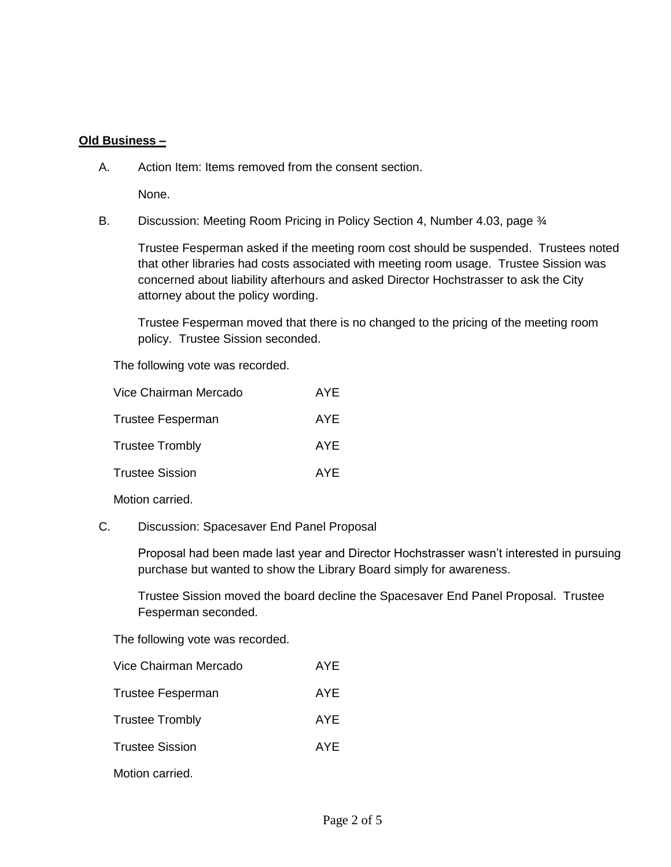### **Old Business –**

A. Action Item: Items removed from the consent section.

None.

B. Discussion: Meeting Room Pricing in Policy Section 4, Number 4.03, page 3/4

Trustee Fesperman asked if the meeting room cost should be suspended. Trustees noted that other libraries had costs associated with meeting room usage. Trustee Sission was concerned about liability afterhours and asked Director Hochstrasser to ask the City attorney about the policy wording.

Trustee Fesperman moved that there is no changed to the pricing of the meeting room policy. Trustee Sission seconded.

The following vote was recorded.

| <b>Trustee Fesperman</b> | AYE |
|--------------------------|-----|
| <b>Trustee Trombly</b>   | AYE |
| <b>Trustee Sission</b>   | AYE |

Motion carried.

C. Discussion: Spacesaver End Panel Proposal

Proposal had been made last year and Director Hochstrasser wasn't interested in pursuing purchase but wanted to show the Library Board simply for awareness.

Trustee Sission moved the board decline the Spacesaver End Panel Proposal. Trustee Fesperman seconded.

The following vote was recorded.

| Vice Chairman Mercado    | AYF |
|--------------------------|-----|
| <b>Trustee Fesperman</b> | AYE |
| <b>Trustee Trombly</b>   | AYE |
| <b>Trustee Sission</b>   | AYF |

Motion carried.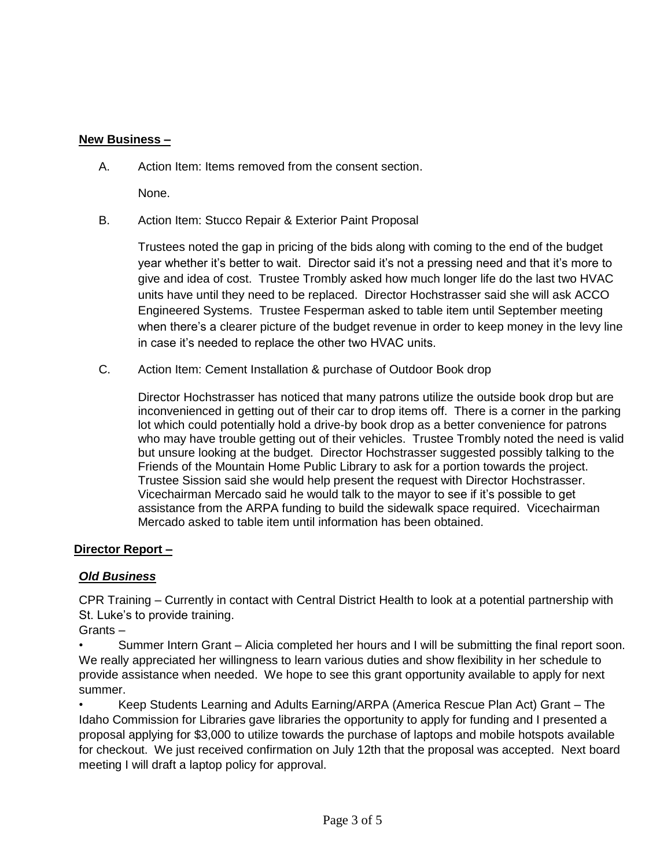## **New Business –**

A. Action Item: Items removed from the consent section.

None.

B. Action Item: Stucco Repair & Exterior Paint Proposal

Trustees noted the gap in pricing of the bids along with coming to the end of the budget year whether it's better to wait. Director said it's not a pressing need and that it's more to give and idea of cost. Trustee Trombly asked how much longer life do the last two HVAC units have until they need to be replaced. Director Hochstrasser said she will ask ACCO Engineered Systems. Trustee Fesperman asked to table item until September meeting when there's a clearer picture of the budget revenue in order to keep money in the levy line in case it's needed to replace the other two HVAC units.

C. Action Item: Cement Installation & purchase of Outdoor Book drop

Director Hochstrasser has noticed that many patrons utilize the outside book drop but are inconvenienced in getting out of their car to drop items off. There is a corner in the parking lot which could potentially hold a drive-by book drop as a better convenience for patrons who may have trouble getting out of their vehicles. Trustee Trombly noted the need is valid but unsure looking at the budget. Director Hochstrasser suggested possibly talking to the Friends of the Mountain Home Public Library to ask for a portion towards the project. Trustee Sission said she would help present the request with Director Hochstrasser. Vicechairman Mercado said he would talk to the mayor to see if it's possible to get assistance from the ARPA funding to build the sidewalk space required. Vicechairman Mercado asked to table item until information has been obtained.

# **Director Report –**

# *Old Business*

CPR Training – Currently in contact with Central District Health to look at a potential partnership with St. Luke's to provide training.

Grants –

• Summer Intern Grant – Alicia completed her hours and I will be submitting the final report soon. We really appreciated her willingness to learn various duties and show flexibility in her schedule to provide assistance when needed. We hope to see this grant opportunity available to apply for next summer.

• Keep Students Learning and Adults Earning/ARPA (America Rescue Plan Act) Grant – The Idaho Commission for Libraries gave libraries the opportunity to apply for funding and I presented a proposal applying for \$3,000 to utilize towards the purchase of laptops and mobile hotspots available for checkout. We just received confirmation on July 12th that the proposal was accepted. Next board meeting I will draft a laptop policy for approval.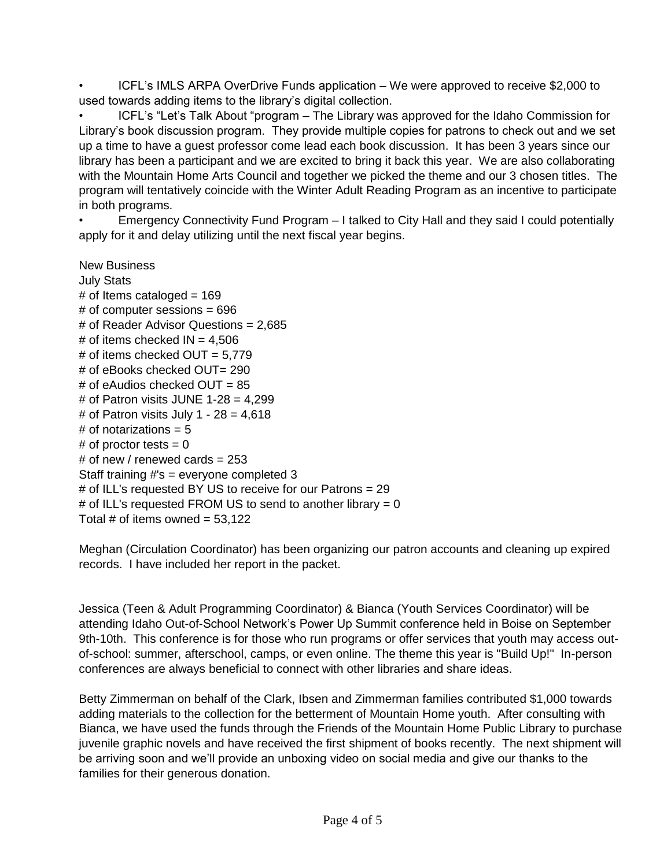• ICFL's IMLS ARPA OverDrive Funds application – We were approved to receive \$2,000 to used towards adding items to the library's digital collection.

• ICFL's "Let's Talk About "program – The Library was approved for the Idaho Commission for Library's book discussion program. They provide multiple copies for patrons to check out and we set up a time to have a guest professor come lead each book discussion. It has been 3 years since our library has been a participant and we are excited to bring it back this year. We are also collaborating with the Mountain Home Arts Council and together we picked the theme and our 3 chosen titles. The program will tentatively coincide with the Winter Adult Reading Program as an incentive to participate in both programs.

• Emergency Connectivity Fund Program – I talked to City Hall and they said I could potentially apply for it and delay utilizing until the next fiscal year begins.

New Business July Stats  $#$  of Items cataloged = 169  $#$  of computer sessions = 696 # of Reader Advisor Questions = 2,685 # of items checked  $IN = 4,506$ # of items checked OUT =  $5.779$ # of eBooks checked OUT= 290  $#$  of eAudios checked OUT = 85 # of Patron visits JUNE  $1-28 = 4,299$ # of Patron visits July  $1 - 28 = 4,618$ # of notarizations  $= 5$ # of proctor tests  $= 0$ # of new / renewed cards =  $253$ Staff training #'s = everyone completed 3 # of ILL's requested BY US to receive for our Patrons = 29 # of ILL's requested FROM US to send to another library =  $0$ Total # of items owned =  $53,122$ 

Meghan (Circulation Coordinator) has been organizing our patron accounts and cleaning up expired records. I have included her report in the packet.

Jessica (Teen & Adult Programming Coordinator) & Bianca (Youth Services Coordinator) will be attending Idaho Out-of-School Network's Power Up Summit conference held in Boise on September 9th-10th. This conference is for those who run programs or offer services that youth may access outof-school: summer, afterschool, camps, or even online. The theme this year is "Build Up!" In-person conferences are always beneficial to connect with other libraries and share ideas.

Betty Zimmerman on behalf of the Clark, Ibsen and Zimmerman families contributed \$1,000 towards adding materials to the collection for the betterment of Mountain Home youth. After consulting with Bianca, we have used the funds through the Friends of the Mountain Home Public Library to purchase juvenile graphic novels and have received the first shipment of books recently. The next shipment will be arriving soon and we'll provide an unboxing video on social media and give our thanks to the families for their generous donation.